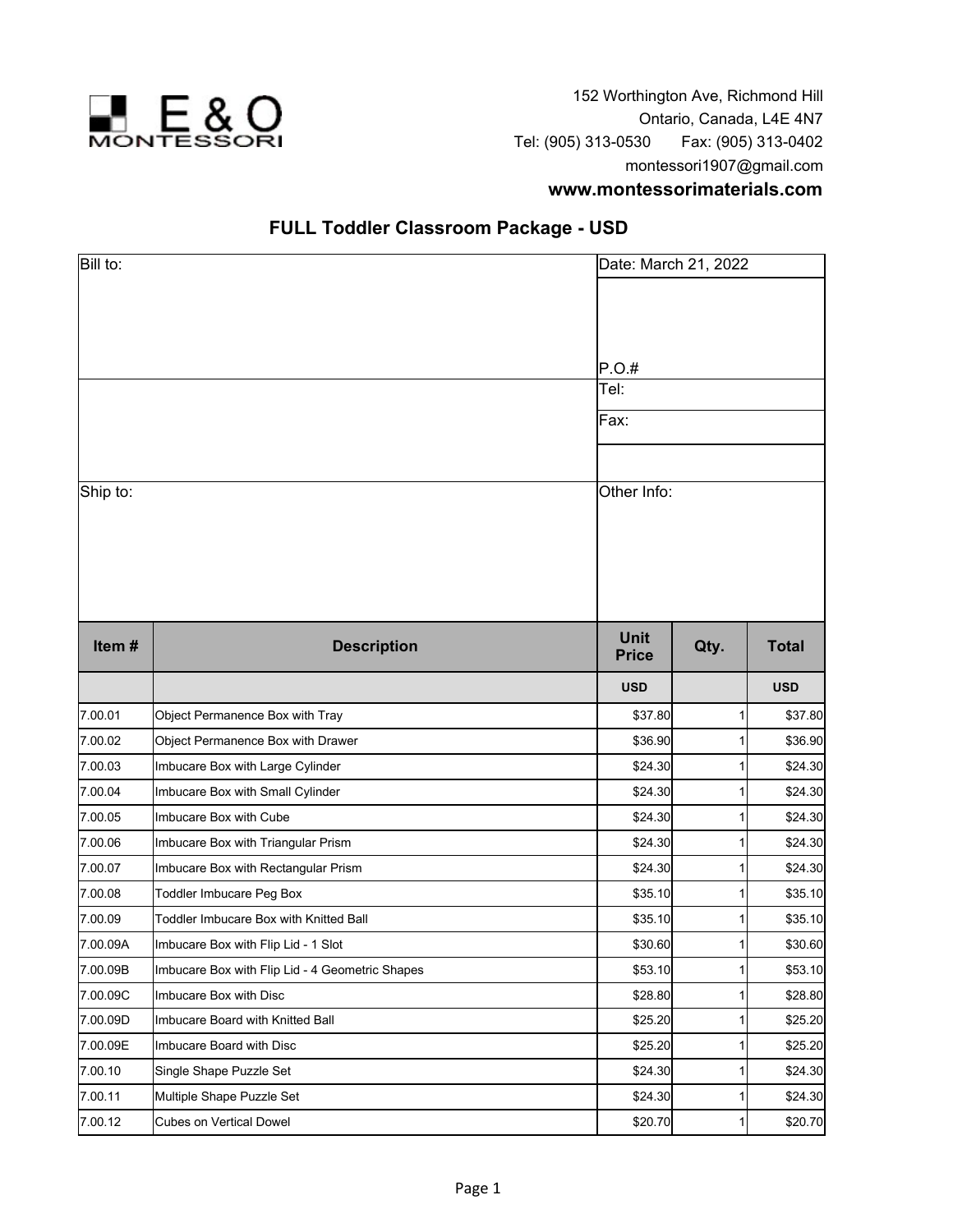

152 Worthington Ave, Richmond Hill Ontario, Canada, L4E 4N7 Tel: (905) 313-0530 Fax: (905) 313-0402 montessori1907@gmail.com **www.montessorimaterials.com**

| Bill to: |                                                 |                             | Date: March 21, 2022 |              |  |  |
|----------|-------------------------------------------------|-----------------------------|----------------------|--------------|--|--|
|          |                                                 |                             |                      |              |  |  |
|          |                                                 | P.O.#                       |                      |              |  |  |
|          |                                                 | Tel:                        |                      |              |  |  |
|          |                                                 | Fax:                        |                      |              |  |  |
|          |                                                 |                             |                      |              |  |  |
| Ship to: |                                                 |                             | Other Info:          |              |  |  |
|          |                                                 |                             |                      |              |  |  |
| Item#    | <b>Description</b>                              | <b>Unit</b><br><b>Price</b> | Qty.                 | <b>Total</b> |  |  |
|          |                                                 | <b>USD</b>                  |                      | <b>USD</b>   |  |  |
| 7.00.01  | Object Permanence Box with Tray                 | \$37.80                     | 1                    | \$37.80      |  |  |
| 7.00.02  | Object Permanence Box with Drawer               | \$36.90                     | 1                    | \$36.90      |  |  |
| 7.00.03  | Imbucare Box with Large Cylinder                | \$24.30                     | 1                    | \$24.30      |  |  |
| 7.00.04  | Imbucare Box with Small Cylinder                | \$24.30                     | 1                    | \$24.30      |  |  |
| 7.00.05  | Imbucare Box with Cube                          | \$24.30                     | 1                    | \$24.30      |  |  |
| 7.00.06  | Imbucare Box with Triangular Prism              | \$24.30                     | 1                    | \$24.30      |  |  |
| 7.00.07  | Imbucare Box with Rectangular Prism             | \$24.30                     | 1                    | \$24.30      |  |  |
| 7.00.08  | Toddler Imbucare Peg Box                        | \$35.10                     | 1                    | \$35.10      |  |  |
| 7.00.09  | Toddler Imbucare Box with Knitted Ball          | \$35.10                     | 1                    | \$35.10      |  |  |
| 7.00.09A | Imbucare Box with Flip Lid - 1 Slot             | \$30.60                     | 1                    | \$30.60      |  |  |
| 7.00.09B | Imbucare Box with Flip Lid - 4 Geometric Shapes | \$53.10                     | 11                   | \$53.10      |  |  |
| 7.00.09C | Imbucare Box with Disc                          | \$28.80                     | 1                    | \$28.80      |  |  |
| 7.00.09D | Imbucare Board with Knitted Ball                | \$25.20                     | 1                    | \$25.20      |  |  |
| 7.00.09E | Imbucare Board with Disc                        | \$25.20                     | 1                    | \$25.20      |  |  |
| 7.00.10  | Single Shape Puzzle Set                         | \$24.30                     | 1                    | \$24.30      |  |  |
| 7.00.11  | Multiple Shape Puzzle Set                       | \$24.30                     | 1                    | \$24.30      |  |  |
| 7.00.12  | Cubes on Vertical Dowel                         | \$20.70                     | 1                    | \$20.70      |  |  |

## **FULL Toddler Classroom Package - USD**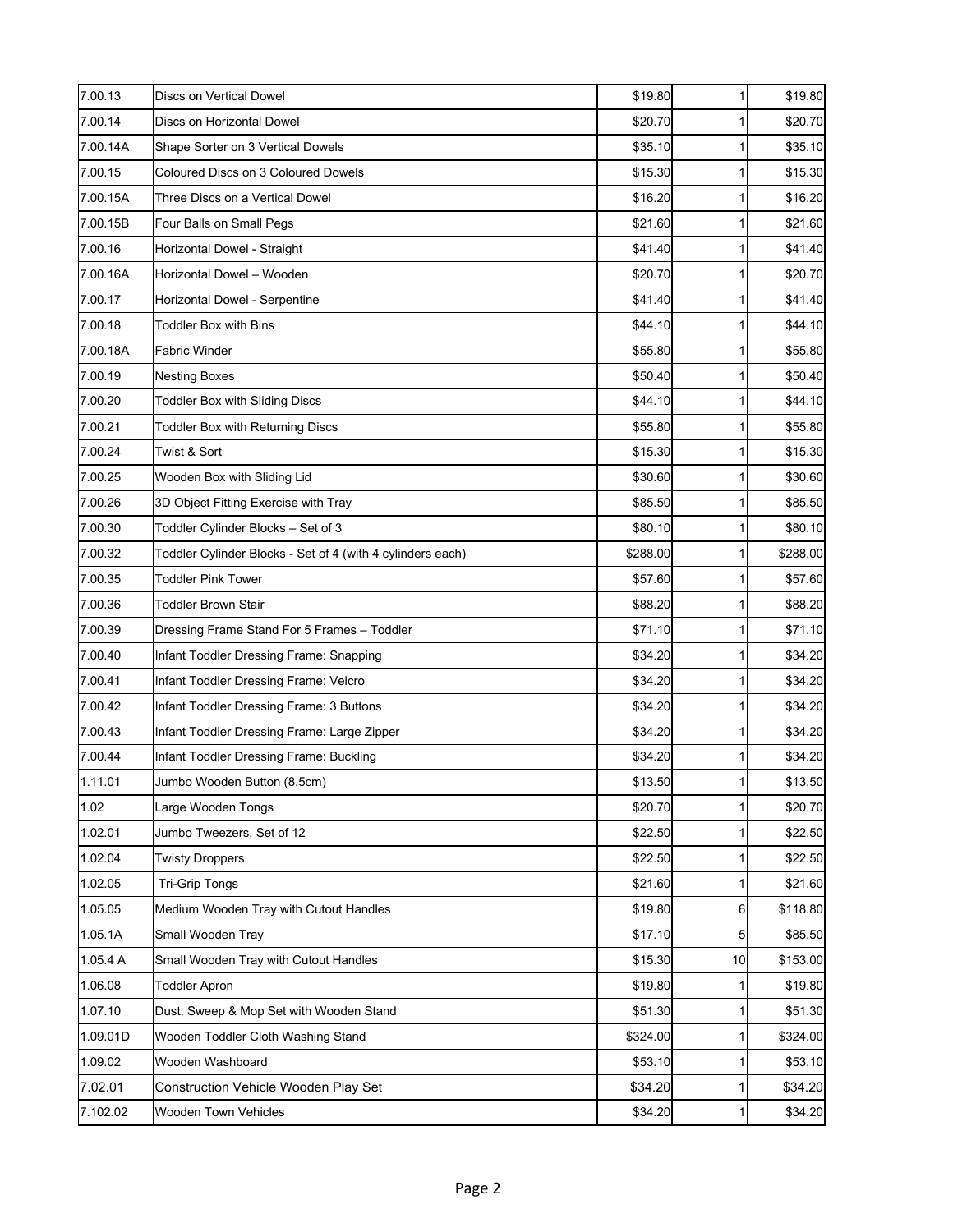| 7.00.13  | Discs on Vertical Dowel                                    | \$19.80  | 1               | \$19.80  |
|----------|------------------------------------------------------------|----------|-----------------|----------|
| 7.00.14  | Discs on Horizontal Dowel                                  | \$20.70  | 11              | \$20.70  |
| 7.00.14A | Shape Sorter on 3 Vertical Dowels                          | \$35.10  | 1               | \$35.10  |
| 7.00.15  | Coloured Discs on 3 Coloured Dowels                        | \$15.30  | 1               | \$15.30  |
| 7.00.15A | Three Discs on a Vertical Dowel                            | \$16.20  |                 | \$16.20  |
| 7.00.15B | Four Balls on Small Pegs                                   | \$21.60  | $\mathbf{1}$    | \$21.60  |
| 7.00.16  | Horizontal Dowel - Straight                                | \$41.40  | 1               | \$41.40] |
| 7.00.16A | Horizontal Dowel - Wooden                                  | \$20.70  | 1               | \$20.70  |
| 7.00.17  | Horizontal Dowel - Serpentine                              | \$41.40  | 1               | \$41.40  |
| 7.00.18  | <b>Toddler Box with Bins</b>                               | \$44.10  | 1               | \$44.10  |
| 7.00.18A | Fabric Winder                                              | \$55.80  | 1               | \$55.80  |
| 7.00.19  | Nesting Boxes                                              | \$50.40  | 1               | \$50.40  |
| 7.00.20  | <b>Toddler Box with Sliding Discs</b>                      | \$44.10  | 1               | \$44.10  |
| 7.00.21  | <b>Toddler Box with Returning Discs</b>                    | \$55.80  | 1               | \$55.80  |
| 7.00.24  | Twist & Sort                                               | \$15.30  | 1               | \$15.30  |
| 7.00.25  | Wooden Box with Sliding Lid                                | \$30.60  | 11              | \$30.60  |
| 7.00.26  | 3D Object Fitting Exercise with Tray                       | \$85.50  | 1               | \$85.50  |
| 7.00.30  | Toddler Cylinder Blocks - Set of 3                         | \$80.10  | 1               | \$80.10  |
| 7.00.32  | Toddler Cylinder Blocks - Set of 4 (with 4 cylinders each) | \$288.00 | 1               | \$288.00 |
| 7.00.35  | <b>Toddler Pink Tower</b>                                  | \$57.60  | 1               | \$57.60  |
| 7.00.36  | Toddler Brown Stair                                        | \$88.20  | 11              | \$88.20  |
| 7.00.39  | Dressing Frame Stand For 5 Frames - Toddler                | \$71.10  | 1               | \$71.10  |
| 7.00.40  | Infant Toddler Dressing Frame: Snapping                    | \$34.20  | 1               | \$34.20  |
| 7.00.41  | Infant Toddler Dressing Frame: Velcro                      | \$34.20  | 11              | \$34.20  |
| 7.00.42  | Infant Toddler Dressing Frame: 3 Buttons                   | \$34.20  | 1               | \$34.20  |
| 7.00.43  | Infant Toddler Dressing Frame: Large Zipper                | \$34.20  |                 | \$34.20  |
| 7.00.44  | Infant Toddler Dressing Frame: Buckling                    | \$34.20  | 1               | \$34.20  |
| 1.11.01  | Jumbo Wooden Button (8.5cm)                                | \$13.50  |                 | \$13.50  |
| 1.02     | Large Wooden Tongs                                         | \$20.70  | 1               | \$20.70  |
| 1.02.01  | Jumbo Tweezers, Set of 12                                  | \$22.50  | 1               | \$22.50  |
| 1.02.04  | <b>Twisty Droppers</b>                                     | \$22.50  | 1               | \$22.50  |
| 1.02.05  | <b>Tri-Grip Tongs</b>                                      | \$21.60  | 1               | \$21.60  |
| 1.05.05  | Medium Wooden Tray with Cutout Handles                     | \$19.80  | $6 \mid$        | \$118.80 |
| 1.05.1A  | Small Wooden Tray                                          | \$17.10  | 5               | \$85.50  |
| 1.05.4 A | Small Wooden Tray with Cutout Handles                      | \$15.30  | 10 <sup>1</sup> | \$153.00 |
| 1.06.08  | <b>Toddler Apron</b>                                       | \$19.80  | 1               | \$19.80  |
| 1.07.10  | Dust, Sweep & Mop Set with Wooden Stand                    | \$51.30  | 1               | \$51.30  |
| 1.09.01D | Wooden Toddler Cloth Washing Stand                         | \$324.00 | 1               | \$324.00 |
| 1.09.02  | Wooden Washboard                                           | \$53.10  | 1               | \$53.10  |
| 7.02.01  | Construction Vehicle Wooden Play Set                       | \$34.20  | 1               | \$34.20  |
| 7.102.02 | Wooden Town Vehicles                                       | \$34.20  | 1               | \$34.20  |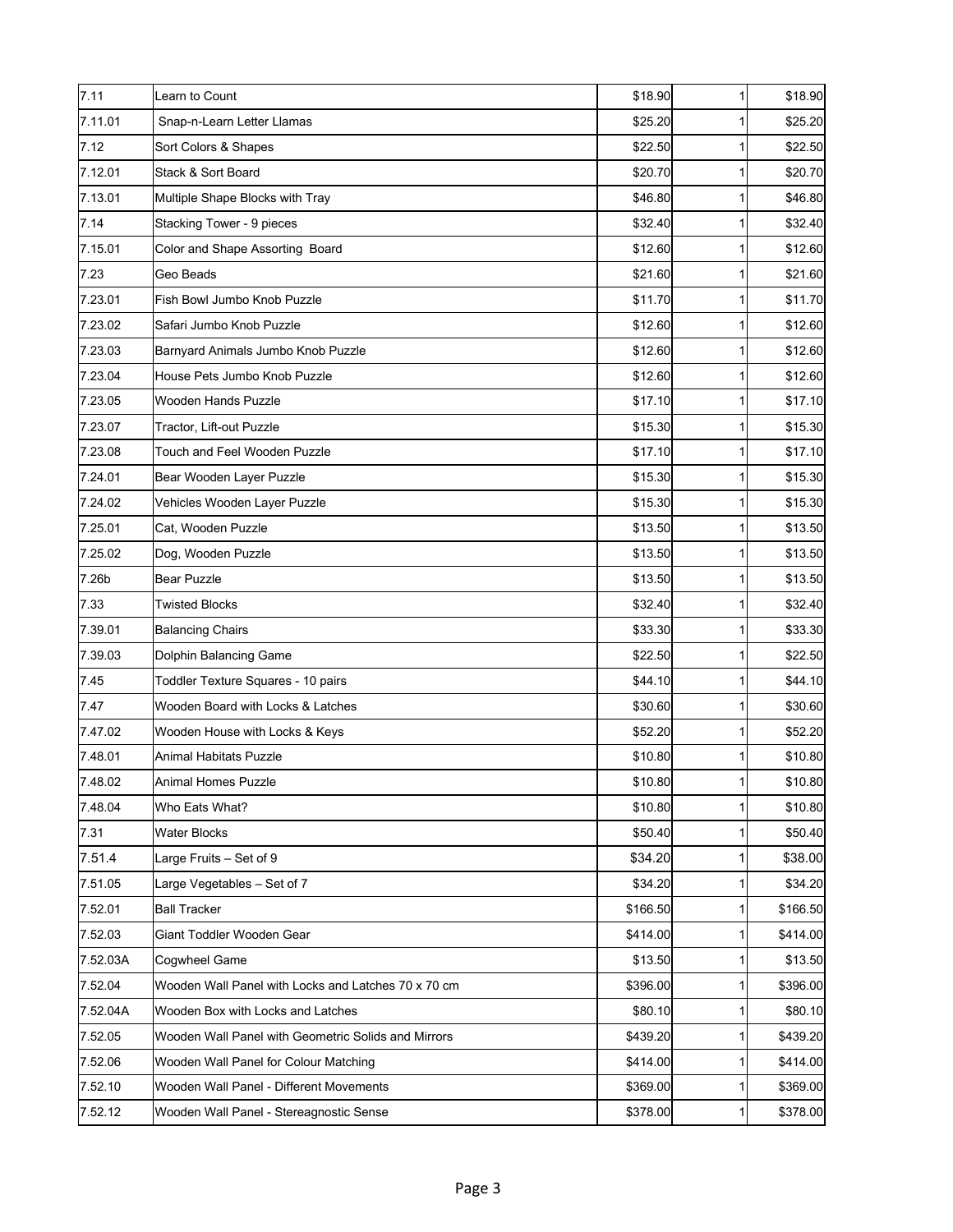| 7.11     | Learn to Count                                      | \$18.90  | $\mathbf{1}$ | \$18.90  |
|----------|-----------------------------------------------------|----------|--------------|----------|
| 7.11.01  | Snap-n-Learn Letter Llamas                          | \$25.20  |              | \$25.20  |
| 7.12     | Sort Colors & Shapes                                | \$22.50  | 1            | \$22.50  |
| 7.12.01  | Stack & Sort Board                                  | \$20.70  |              | \$20.70  |
| 7.13.01  | Multiple Shape Blocks with Tray                     | \$46.80  |              | \$46.80  |
| 7.14     | Stacking Tower - 9 pieces                           | \$32.40  | 1            | \$32.40] |
| 7.15.01  | Color and Shape Assorting Board                     | \$12.60  | 1            | \$12.60  |
| 7.23     | Geo Beads                                           | \$21.60  | 1            | \$21.60  |
| 7.23.01  | Fish Bowl Jumbo Knob Puzzle                         | \$11.70  | 1            | \$11.70  |
| 7.23.02  | Safari Jumbo Knob Puzzle                            | \$12.60  | $\mathbf{1}$ | \$12.60  |
| 7.23.03  | Barnyard Animals Jumbo Knob Puzzle                  | \$12.60  | 1            | \$12.60  |
| 7.23.04  | House Pets Jumbo Knob Puzzle                        | \$12.60  |              | \$12.60  |
| 7.23.05  | Wooden Hands Puzzle                                 | \$17.10  | 1            | \$17.10  |
| 7.23.07  | Tractor, Lift-out Puzzle                            | \$15.30  | 1            | \$15.30  |
| 7.23.08  | Touch and Feel Wooden Puzzle                        | \$17.10  | 1            | \$17.10  |
| 7.24.01  | Bear Wooden Layer Puzzle                            | \$15.30  | 1            | \$15.30  |
| 7.24.02  | Vehicles Wooden Layer Puzzle                        | \$15.30  | $\mathbf{1}$ | \$15.30  |
| 7.25.01  | Cat, Wooden Puzzle                                  | \$13.50  | 1            | \$13.50  |
| 7.25.02  | Dog, Wooden Puzzle                                  | \$13.50  | 1            | \$13.50  |
| 7.26b    | <b>Bear Puzzle</b>                                  | \$13.50  | 1            | \$13.50  |
| 7.33     | <b>Twisted Blocks</b>                               | \$32.40  | 1            | \$32.40  |
| 7.39.01  | <b>Balancing Chairs</b>                             | \$33.30  | 1            | \$33.30  |
| 7.39.03  | Dolphin Balancing Game                              | \$22.50  |              | \$22.50  |
| 7.45     | Toddler Texture Squares - 10 pairs                  | \$44.10  | 1            | \$44.10  |
| 7.47     | Wooden Board with Locks & Latches                   | \$30.60  | 1            | \$30.60  |
| 7.47.02  | Wooden House with Locks & Keys                      | \$52.20  | 1            | \$52.20  |
| 7.48.01  | Animal Habitats Puzzle                              | \$10.80  |              | \$10.80  |
| 7.48.02  | Animal Homes Puzzle                                 | \$10.80  |              | \$10.80  |
| 7.48.04  | Who Eats What?                                      | \$10.80  |              | \$10.80  |
| 7.31     | <b>Water Blocks</b>                                 | \$50.40  | 1            | \$50.40] |
| 7.51.4   | Large Fruits - Set of 9                             | \$34.20  | 1            | \$38.00  |
| 7.51.05  | Large Vegetables - Set of 7                         | \$34.20  | 1            | \$34.20  |
| 7.52.01  | <b>Ball Tracker</b>                                 | \$166.50 | 1            | \$166.50 |
| 7.52.03  | Giant Toddler Wooden Gear                           | \$414.00 | 1            | \$414.00 |
| 7.52.03A | Coqwheel Game                                       | \$13.50  | 1            | \$13.50  |
| 7.52.04  | Wooden Wall Panel with Locks and Latches 70 x 70 cm | \$396.00 | 1            | \$396.00 |
| 7.52.04A | Wooden Box with Locks and Latches                   | \$80.10  | 1            | \$80.10  |
| 7.52.05  | Wooden Wall Panel with Geometric Solids and Mirrors | \$439.20 |              | \$439.20 |
| 7.52.06  | Wooden Wall Panel for Colour Matching               | \$414.00 | 11           | \$414.00 |
| 7.52.10  | Wooden Wall Panel - Different Movements             | \$369.00 | 1            | \$369.00 |
| 7.52.12  | Wooden Wall Panel - Stereagnostic Sense             | \$378.00 | 1            | \$378.00 |